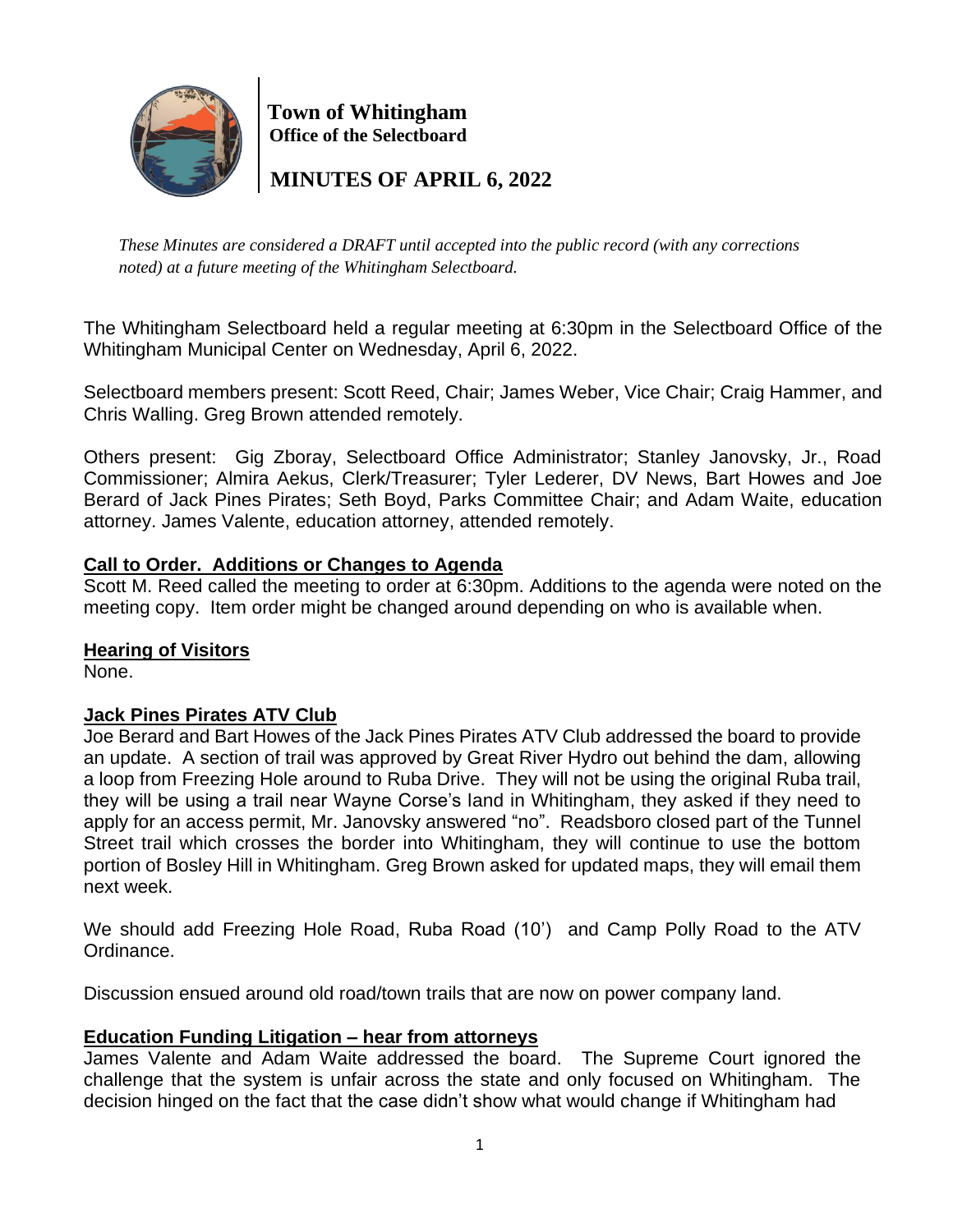

 **Town of Whitingham Office of the Selectboard**

 **MINUTES OF APRIL 6, 2022**

*These Minutes are considered a DRAFT until accepted into the public record (with any corrections noted) at a future meeting of the Whitingham Selectboard.*

The Whitingham Selectboard held a regular meeting at 6:30pm in the Selectboard Office of the Whitingham Municipal Center on Wednesday, April 6, 2022.

Selectboard members present: Scott Reed, Chair; James Weber, Vice Chair; Craig Hammer, and Chris Walling. Greg Brown attended remotely.

Others present: Gig Zboray, Selectboard Office Administrator; Stanley Janovsky, Jr., Road Commissioner; Almira Aekus, Clerk/Treasurer; Tyler Lederer, DV News, Bart Howes and Joe Berard of Jack Pines Pirates; Seth Boyd, Parks Committee Chair; and Adam Waite, education attorney. James Valente, education attorney, attended remotely.

# **Call to Order. Additions or Changes to Agenda**

Scott M. Reed called the meeting to order at 6:30pm. Additions to the agenda were noted on the meeting copy. Item order might be changed around depending on who is available when.

#### **Hearing of Visitors**

None.

#### **Jack Pines Pirates ATV Club**

Joe Berard and Bart Howes of the Jack Pines Pirates ATV Club addressed the board to provide an update. A section of trail was approved by Great River Hydro out behind the dam, allowing a loop from Freezing Hole around to Ruba Drive. They will not be using the original Ruba trail, they will be using a trail near Wayne Corse's land in Whitingham, they asked if they need to apply for an access permit, Mr. Janovsky answered "no". Readsboro closed part of the Tunnel Street trail which crosses the border into Whitingham, they will continue to use the bottom portion of Bosley Hill in Whitingham. Greg Brown asked for updated maps, they will email them next week.

We should add Freezing Hole Road, Ruba Road (10') and Camp Polly Road to the ATV Ordinance.

Discussion ensued around old road/town trails that are now on power company land.

# **Education Funding Litigation – hear from attorneys**

James Valente and Adam Waite addressed the board. The Supreme Court ignored the challenge that the system is unfair across the state and only focused on Whitingham. The decision hinged on the fact that the case didn't show what would change if Whitingham had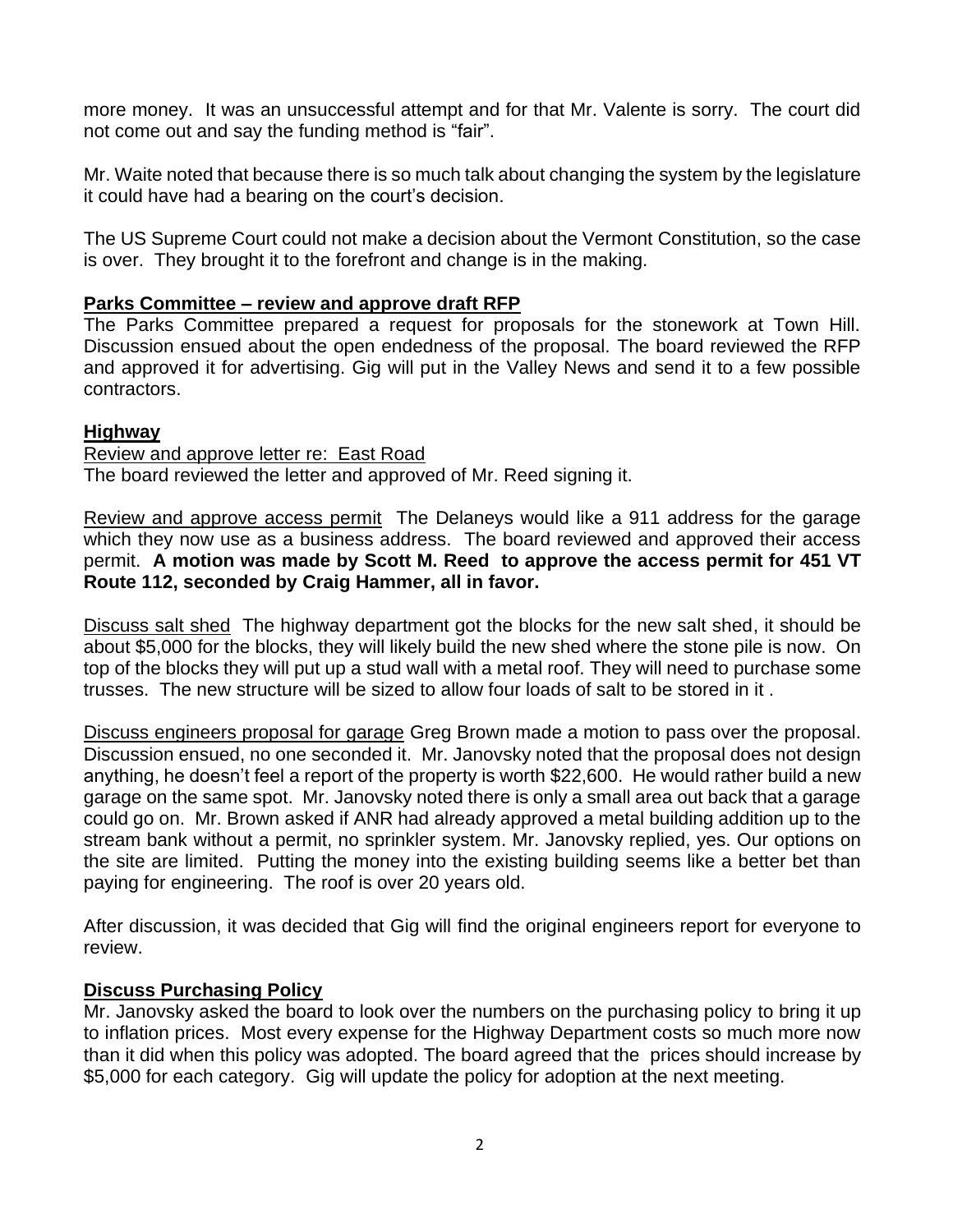more money. It was an unsuccessful attempt and for that Mr. Valente is sorry. The court did not come out and say the funding method is "fair".

Mr. Waite noted that because there is so much talk about changing the system by the legislature it could have had a bearing on the court's decision.

The US Supreme Court could not make a decision about the Vermont Constitution, so the case is over. They brought it to the forefront and change is in the making.

### **Parks Committee – review and approve draft RFP**

The Parks Committee prepared a request for proposals for the stonework at Town Hill. Discussion ensued about the open endedness of the proposal. The board reviewed the RFP and approved it for advertising. Gig will put in the Valley News and send it to a few possible contractors.

### **Highway**

Review and approve letter re: East Road The board reviewed the letter and approved of Mr. Reed signing it.

Review and approve access permit The Delaneys would like a 911 address for the garage which they now use as a business address. The board reviewed and approved their access permit. **A motion was made by Scott M. Reed to approve the access permit for 451 VT Route 112, seconded by Craig Hammer, all in favor.**

Discuss salt shed The highway department got the blocks for the new salt shed, it should be about \$5,000 for the blocks, they will likely build the new shed where the stone pile is now. On top of the blocks they will put up a stud wall with a metal roof. They will need to purchase some trusses. The new structure will be sized to allow four loads of salt to be stored in it .

Discuss engineers proposal for garage Greg Brown made a motion to pass over the proposal. Discussion ensued, no one seconded it. Mr. Janovsky noted that the proposal does not design anything, he doesn't feel a report of the property is worth \$22,600. He would rather build a new garage on the same spot. Mr. Janovsky noted there is only a small area out back that a garage could go on. Mr. Brown asked if ANR had already approved a metal building addition up to the stream bank without a permit, no sprinkler system. Mr. Janovsky replied, yes. Our options on the site are limited. Putting the money into the existing building seems like a better bet than paying for engineering. The roof is over 20 years old.

After discussion, it was decided that Gig will find the original engineers report for everyone to review.

#### **Discuss Purchasing Policy**

Mr. Janovsky asked the board to look over the numbers on the purchasing policy to bring it up to inflation prices. Most every expense for the Highway Department costs so much more now than it did when this policy was adopted. The board agreed that the prices should increase by \$5,000 for each category. Gig will update the policy for adoption at the next meeting.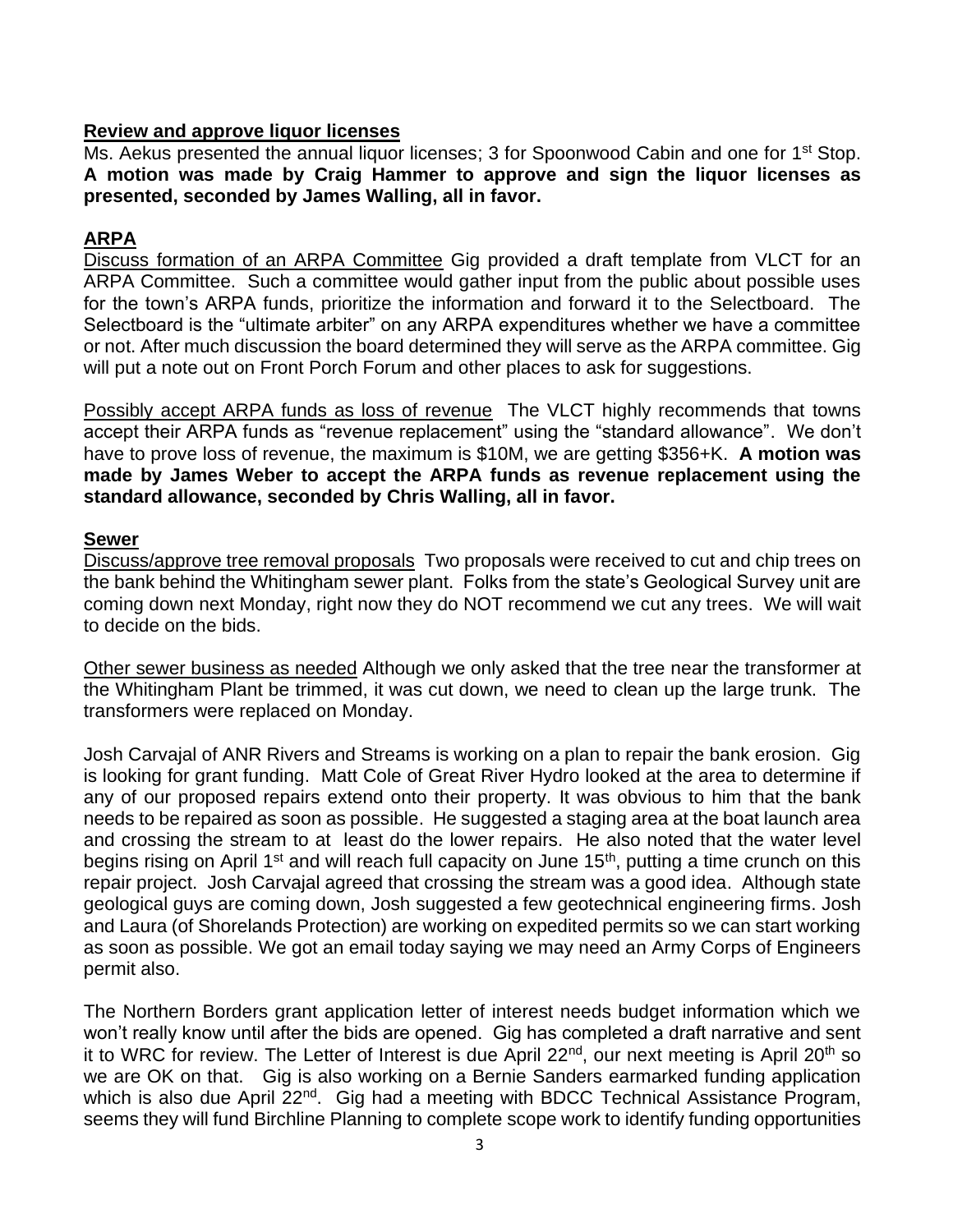### **Review and approve liquor licenses**

Ms. Aekus presented the annual liquor licenses; 3 for Spoonwood Cabin and one for 1<sup>st</sup> Stop. **A motion was made by Craig Hammer to approve and sign the liquor licenses as presented, seconded by James Walling, all in favor.**

# **ARPA**

Discuss formation of an ARPA Committee Gig provided a draft template from VLCT for an ARPA Committee. Such a committee would gather input from the public about possible uses for the town's ARPA funds, prioritize the information and forward it to the Selectboard. The Selectboard is the "ultimate arbiter" on any ARPA expenditures whether we have a committee or not. After much discussion the board determined they will serve as the ARPA committee. Gig will put a note out on Front Porch Forum and other places to ask for suggestions.

Possibly accept ARPA funds as loss of revenue The VLCT highly recommends that towns accept their ARPA funds as "revenue replacement" using the "standard allowance". We don't have to prove loss of revenue, the maximum is \$10M, we are getting \$356+K. **A motion was made by James Weber to accept the ARPA funds as revenue replacement using the standard allowance, seconded by Chris Walling, all in favor.**

#### **Sewer**

Discuss/approve tree removal proposals Two proposals were received to cut and chip trees on the bank behind the Whitingham sewer plant. Folks from the state's Geological Survey unit are coming down next Monday, right now they do NOT recommend we cut any trees. We will wait to decide on the bids.

Other sewer business as needed Although we only asked that the tree near the transformer at the Whitingham Plant be trimmed, it was cut down, we need to clean up the large trunk. The transformers were replaced on Monday.

Josh Carvajal of ANR Rivers and Streams is working on a plan to repair the bank erosion. Gig is looking for grant funding. Matt Cole of Great River Hydro looked at the area to determine if any of our proposed repairs extend onto their property. It was obvious to him that the bank needs to be repaired as soon as possible. He suggested a staging area at the boat launch area and crossing the stream to at least do the lower repairs. He also noted that the water level begins rising on April 1<sup>st</sup> and will reach full capacity on June 15<sup>th</sup>, putting a time crunch on this repair project. Josh Carvajal agreed that crossing the stream was a good idea. Although state geological guys are coming down, Josh suggested a few geotechnical engineering firms. Josh and Laura (of Shorelands Protection) are working on expedited permits so we can start working as soon as possible. We got an email today saying we may need an Army Corps of Engineers permit also.

The Northern Borders grant application letter of interest needs budget information which we won't really know until after the bids are opened. Gig has completed a draft narrative and sent it to WRC for review. The Letter of Interest is due April 22<sup>nd</sup>, our next meeting is April 20<sup>th</sup> so we are OK on that. Gig is also working on a Bernie Sanders earmarked funding application which is also due April 22<sup>nd</sup>. Gig had a meeting with BDCC Technical Assistance Program, seems they will fund Birchline Planning to complete scope work to identify funding opportunities